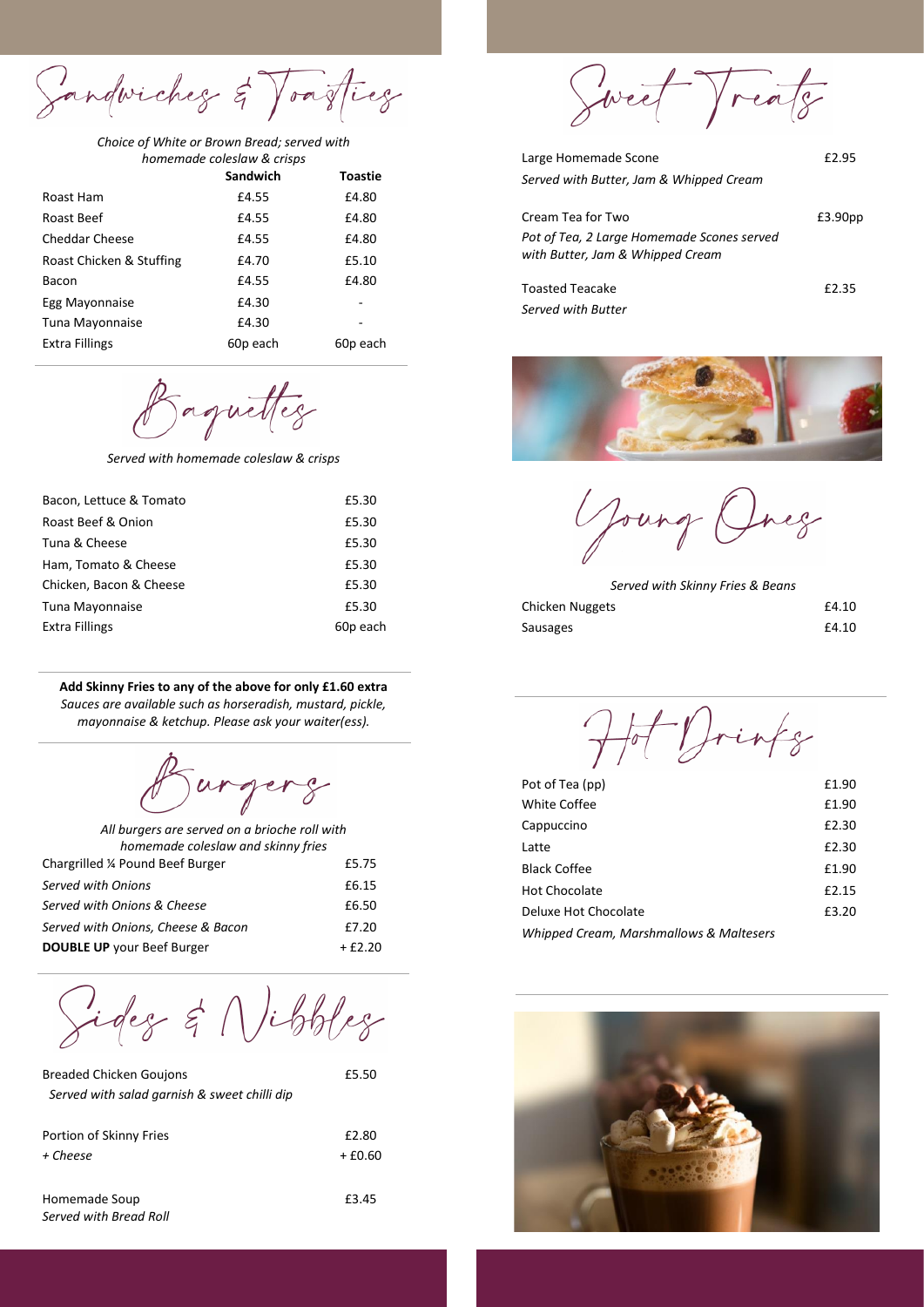Sandwiches & Toasties

*Choice of White or Brown Bread; served with homemade coleslaw & crisps*

|                          | Sandwich | <b>Toastie</b> |
|--------------------------|----------|----------------|
| Roast Ham                | £4.55    | £4.80          |
| Roast Beef               | £4.55    | £4.80          |
| <b>Cheddar Cheese</b>    | £4.55    | £4.80          |
| Roast Chicken & Stuffing | £4.70    | £5.10          |
| Bacon                    | £4.55    | £4.80          |
| Egg Mayonnaise           | £4.30    |                |
| Tuna Mayonnaise          | £4.30    |                |
| Extra Fillings           | 60p each | 60p each       |

Baquettes

*Served with homemade coleslaw & crisps*

| Bacon, Lettuce & Tomato | £5.30    |
|-------------------------|----------|
| Roast Beef & Onion      | £5.30    |
| Tuna & Cheese           | £5.30    |
| Ham, Tomato & Cheese    | £5.30    |
| Chicken, Bacon & Cheese | £5.30    |
| Tuna Mayonnaise         | £5.30    |
| <b>Extra Fillings</b>   | 60p each |
|                         |          |

**Add Skinny Fries to any of the above for only £1.60 extra** *Sauces are available such as horseradish, mustard, pickle, mayonnaise & ketchup. Please ask your waiter(ess).*

urgerg

| All burgers are served on a brioche roll with |          |
|-----------------------------------------------|----------|
| homemade coleslaw and skinny fries            |          |
| Chargrilled ¼ Pound Beef Burger               | £5.75    |
| Served with Onions                            | £6.15    |
| Served with Onions & Cheese                   | £6.50    |
| Served with Onions, Cheese & Bacon            | £7.20    |
| <b>DOUBLE UP</b> your Beef Burger             | $+£2.20$ |

Sides & Nibbles

| <b>Breaded Chicken Goujons</b>               | £5.50    |
|----------------------------------------------|----------|
| Served with salad garnish & sweet chilli dip |          |
|                                              |          |
| Portion of Skinny Fries                      | £2.80    |
| + Cheese                                     | $+£0.60$ |
|                                              |          |
| Homemade Soup                                | £3.45    |

*Served with Bread Roll*

Sweet Treats

| Large Homemade Scone                                                           | £2.95               |
|--------------------------------------------------------------------------------|---------------------|
| Served with Butter, Jam & Whipped Cream                                        |                     |
| Cream Tea for Two                                                              | £3.90 <sub>pp</sub> |
| Pot of Tea, 2 Large Homemade Scones served<br>with Butter, Jam & Whipped Cream |                     |
| Toasted Teacake                                                                | £2.35               |
| Served with Butter                                                             |                     |



Jourg eg

*Served with Skinny Fries & Beans*

| Chicken Nuggets | £4.10 |
|-----------------|-------|
| Sausages        | £4.10 |

Hot Drinks

| Pot of Tea (pp)                         | £1.90 |
|-----------------------------------------|-------|
| White Coffee                            | £1.90 |
| Cappuccino                              | £2.30 |
| Latte                                   | £2.30 |
| <b>Black Coffee</b>                     | £1.90 |
| Hot Chocolate                           | £2.15 |
| Deluxe Hot Chocolate                    | £3.20 |
| Whipped Cream, Marshmallows & Maltesers |       |